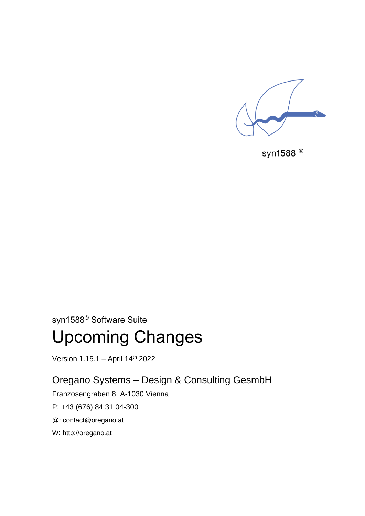

syn1588<sup>®</sup>

syn1588® Software Suite

# Upcoming Changes

Version 1.15.1 - April 14<sup>th</sup> 2022

Oregano Systems – Design & Consulting GesmbH

Franzosengraben 8, A-1030 Vienna

P: +43 (676) 84 31 04-300

@: [contact@oregano.at](mailto:contact@oregano.at)

W: [http://oregano.at](http://www.oregano.at/)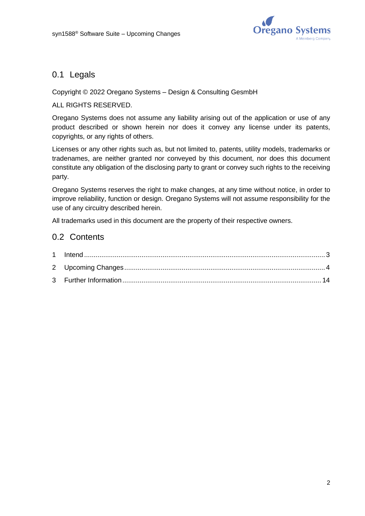

# 0.1 Legals

#### Copyright © 2022 Oregano Systems – Design & Consulting GesmbH

#### ALL RIGHTS RESERVED.

Oregano Systems does not assume any liability arising out of the application or use of any product described or shown herein nor does it convey any license under its patents, copyrights, or any rights of others.

Licenses or any other rights such as, but not limited to, patents, utility models, trademarks or tradenames, are neither granted nor conveyed by this document, nor does this document constitute any obligation of the disclosing party to grant or convey such rights to the receiving party.

Oregano Systems reserves the right to make changes, at any time without notice, in order to improve reliability, function or design. Oregano Systems will not assume responsibility for the use of any circuitry described herein.

All trademarks used in this document are the property of their respective owners.

# 0.2 Contents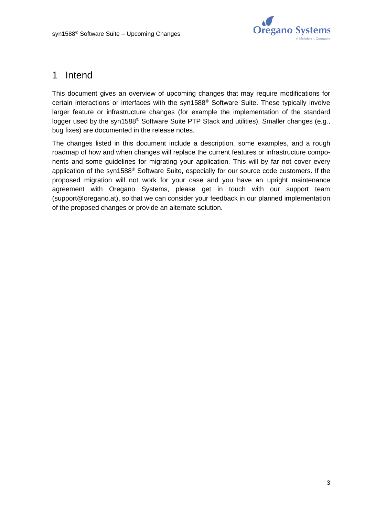

# <span id="page-2-0"></span>1 Intend

This document gives an overview of upcoming changes that may require modifications for certain interactions or interfaces with the syn1588® Software Suite. These typically involve larger feature or infrastructure changes (for example the implementation of the standard logger used by the syn1588<sup>®</sup> Software Suite PTP Stack and utilities). Smaller changes (e.g., bug fixes) are documented in the release notes.

The changes listed in this document include a description, some examples, and a rough roadmap of how and when changes will replace the current features or infrastructure components and some guidelines for migrating your application. This will by far not cover every application of the syn1588® Software Suite, especially for our source code customers. If the proposed migration will not work for your case and you have an upright maintenance agreement with Oregano Systems, please get in touch with our support team [\(support@oregano.at\)](mailto:support@oregano.at), so that we can consider your feedback in our planned implementation of the proposed changes or provide an alternate solution.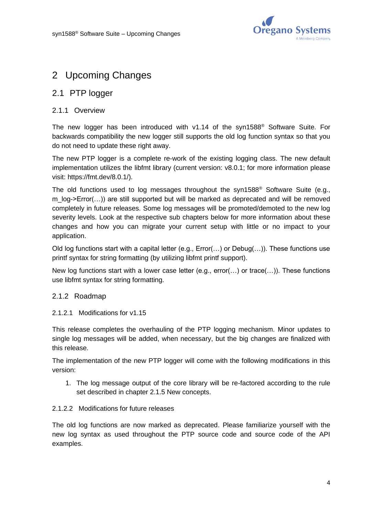

# <span id="page-3-0"></span>2 Upcoming Changes

## 2.1 PTP logger

#### 2.1.1 Overview

The new logger has been introduced with v1.14 of the syn1588® Software Suite. For backwards compatibility the new logger still supports the old log function syntax so that you do not need to update these right away.

The new PTP logger is a complete re-work of the existing logging class. The new default implementation utilizes the libfmt library (current version: v8.0.1; for more information please visit: [https://fmt.dev/8.0.1/\)](https://fmt.dev/8.0.1/).

The old functions used to log messages throughout the syn1588® Software Suite (e.g., m\_log->Error(…)) are still supported but will be marked as deprecated and will be removed completely in future releases. Some log messages will be promoted/demoted to the new log severity levels. Look at the respective sub chapters below for more information about these changes and how you can migrate your current setup with little or no impact to your application.

Old log functions start with a capital letter (e.g., Error(…) or Debug(…)). These functions use printf syntax for string formatting (by utilizing libfmt printf support).

New log functions start with a lower case letter (e.g., error(...) or trace(...)). These functions use libfmt syntax for string formatting.

#### 2.1.2 Roadmap

2.1.2.1 Modifications for v1.15

This release completes the overhauling of the PTP logging mechanism. Minor updates to single log messages will be added, when necessary, but the big changes are finalized with this release.

The implementation of the new PTP logger will come with the following modifications in this version:

1. The log message output of the core library will be re-factored according to the rule set described in chapter [2.1.5](#page-4-0) [New concepts.](#page-4-0)

#### 2.1.2.2 Modifications for future releases

The old log functions are now marked as deprecated. Please familiarize yourself with the new log syntax as used throughout the PTP source code and source code of the API examples.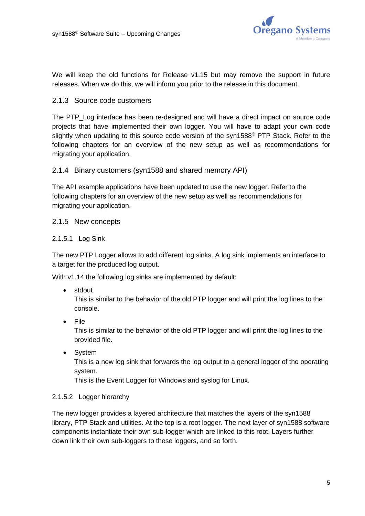

We will keep the old functions for Release v1.15 but may remove the support in future releases. When we do this, we will inform you prior to the release in this document.

#### 2.1.3 Source code customers

The PTP\_Log interface has been re-designed and will have a direct impact on source code projects that have implemented their own logger. You will have to adapt your own code slightly when updating to this source code version of the syn1588<sup>®</sup> PTP Stack. Refer to the following chapters for an overview of the new setup as well as recommendations for migrating your application.

#### 2.1.4 Binary customers (syn1588 and shared memory API)

The API example applications have been updated to use the new logger. Refer to the following chapters for an overview of the new setup as well as recommendations for migrating your application.

#### <span id="page-4-0"></span>2.1.5 New concepts

#### 2.1.5.1 Log Sink

The new PTP Logger allows to add different log sinks. A log sink implements an interface to a target for the produced log output.

With v1.14 the following log sinks are implemented by default:

• stdout

This is similar to the behavior of the old PTP logger and will print the log lines to the console.

• File

This is similar to the behavior of the old PTP logger and will print the log lines to the provided file.

• System

This is a new log sink that forwards the log output to a general logger of the operating system.

This is the Event Logger for Windows and syslog for Linux.

#### 2.1.5.2 Logger hierarchy

The new logger provides a layered architecture that matches the layers of the syn1588 library, PTP Stack and utilities. At the top is a root logger. The next layer of syn1588 software components instantiate their own sub-logger which are linked to this root. Layers further down link their own sub-loggers to these loggers, and so forth.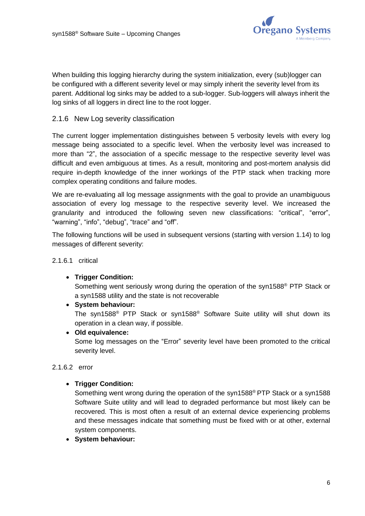

When building this logging hierarchy during the system initialization, every (sub)logger can be configured with a different severity level or may simply inherit the severity level from its parent. Additional log sinks may be added to a sub-logger. Sub-loggers will always inherit the log sinks of all loggers in direct line to the root logger.

#### 2.1.6 New Log severity classification

The current logger implementation distinguishes between 5 verbosity levels with every log message being associated to a specific level. When the verbosity level was increased to more than "2", the association of a specific message to the respective severity level was difficult and even ambiguous at times. As a result, monitoring and post-mortem analysis did require in-depth knowledge of the inner workings of the PTP stack when tracking more complex operating conditions and failure modes.

We are re-evaluating all log message assignments with the goal to provide an unambiguous association of every log message to the respective severity level. We increased the granularity and introduced the following seven new classifications: "critical", "error", "warning", "info", "debug", "trace" and "off".

The following functions will be used in subsequent versions (starting with version 1.14) to log messages of different severity:

2.1.6.1 critical

• **Trigger Condition:**

Something went seriously wrong during the operation of the syn1588® PTP Stack or a syn1588 utility and the state is not recoverable

• **System behaviour:**

The syn1588® PTP Stack or syn1588® Software Suite utility will shut down its operation in a clean way, if possible.

• **Old equivalence:**

Some log messages on the "Error" severity level have been promoted to the critical severity level.

2.1.6.2 error

• **Trigger Condition:**

Something went wrong during the operation of the syn1588® PTP Stack or a syn1588 Software Suite utility and will lead to degraded performance but most likely can be recovered. This is most often a result of an external device experiencing problems and these messages indicate that something must be fixed with or at other, external system components.

• **System behaviour:**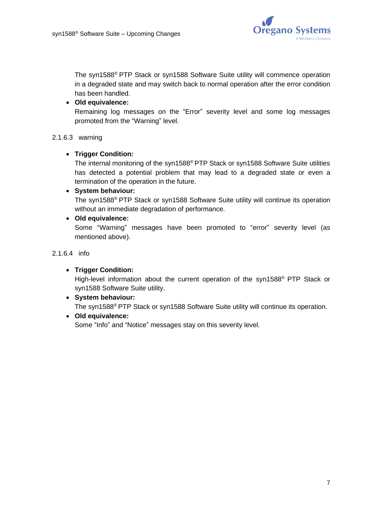

The syn1588® PTP Stack or syn1588 Software Suite utility will commence operation in a degraded state and may switch back to normal operation after the error condition has been handled.

#### • **Old equivalence:**

Remaining log messages on the "Error" severity level and some log messages promoted from the "Warning" level.

#### 2.1.6.3 warning

#### • **Trigger Condition:**

The internal monitoring of the syn1588® PTP Stack or syn1588 Software Suite utilities has detected a potential problem that may lead to a degraded state or even a termination of the operation in the future.

#### • **System behaviour:**

The syn1588® PTP Stack or syn1588 Software Suite utility will continue its operation without an immediate degradation of performance.

#### • **Old equivalence:**

Some "Warning" messages have been promoted to "error" severity level (as mentioned above).

2.1.6.4 info

#### • **Trigger Condition:**

High-level information about the current operation of the syn1588® PTP Stack or syn1588 Software Suite utility.

# • **System behaviour:** The syn1588® PTP Stack or syn1588 Software Suite utility will continue its operation.

#### • **Old equivalence:**

Some "Info" and "Notice" messages stay on this severity level.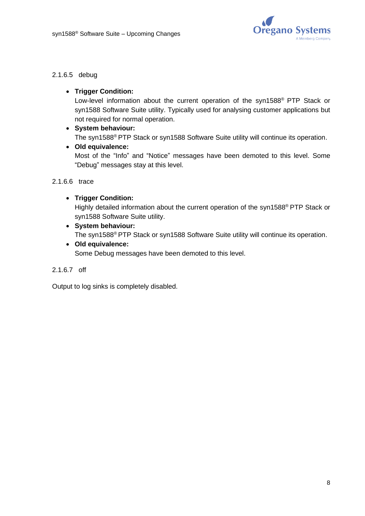

#### 2.1.6.5 debug

#### • **Trigger Condition:**

Low-level information about the current operation of the syn1588® PTP Stack or syn1588 Software Suite utility. Typically used for analysing customer applications but not required for normal operation.

#### • **System behaviour:**

The syn1588® PTP Stack or syn1588 Software Suite utility will continue its operation.

#### • **Old equivalence:**

Most of the "Info" and "Notice" messages have been demoted to this level. Some "Debug" messages stay at this level.

#### 2.1.6.6 trace

#### • **Trigger Condition:**

Highly detailed information about the current operation of the syn1588® PTP Stack or syn1588 Software Suite utility.

- **System behaviour:** The syn1588® PTP Stack or syn1588 Software Suite utility will continue its operation.
- **Old equivalence:**

Some Debug messages have been demoted to this level.

2.1.6.7 off

Output to log sinks is completely disabled.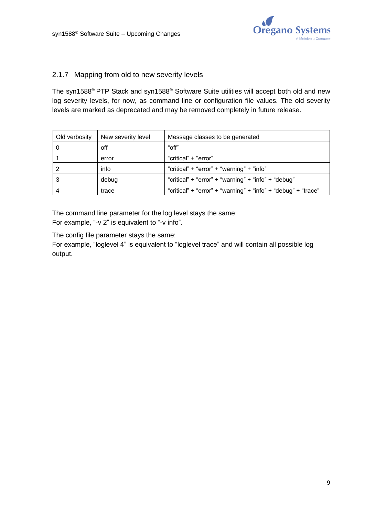

#### <span id="page-8-0"></span>2.1.7 Mapping from old to new severity levels

The syn1588® PTP Stack and syn1588® Software Suite utilities will accept both old and new log severity levels, for now, as command line or configuration file values. The old severity levels are marked as deprecated and may be removed completely in future release.

| Old verbosity | New severity level | Message classes to be generated                               |
|---------------|--------------------|---------------------------------------------------------------|
|               | off                | "off"                                                         |
|               | error              | "critical" + "error"                                          |
|               | info               | "critical" + "error" + "warning" + "info"                     |
|               | debug              | "critical" + "error" + "warning" + "info" + "debug"           |
|               | trace              | "critical" + "error" + "warning" + "info" + "debug" + "trace" |

The command line parameter for the log level stays the same: For example, "-v 2" is equivalent to "-v info".

The config file parameter stays the same:

For example, "loglevel 4" is equivalent to "loglevel trace" and will contain all possible log output.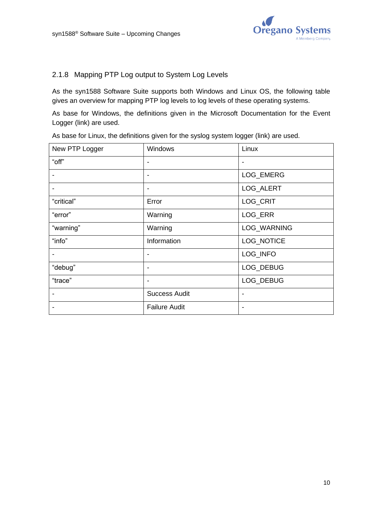

## 2.1.8 Mapping PTP Log output to System Log Levels

As the syn1588 Software Suite supports both Windows and Linux OS, the following table gives an overview for mapping PTP log levels to log levels of these operating systems.

As base for Windows, the definitions given in the Microsoft Documentation for the Event Logger [\(link\)](https://docs.microsoft.com/en-us/windows/win32/eventlog/event-types) are used.

As base for Linux, the definitions given for the syslog system logger [\(link\)](https://man7.org/linux/man-pages/man3/syslog.3.html) are used.

| New PTP Logger | Windows              | Linux                    |
|----------------|----------------------|--------------------------|
| "off"          | $\blacksquare$       | $\overline{\phantom{a}}$ |
|                | $\blacksquare$       | LOG_EMERG                |
|                | $\blacksquare$       | LOG_ALERT                |
| "critical"     | Error                | LOG_CRIT                 |
| "error"        | Warning              | LOG_ERR                  |
| "warning"      | Warning              | LOG_WARNING              |
| "info"         | Information          | LOG_NOTICE               |
|                | -                    | LOG_INFO                 |
| "debug"        | $\blacksquare$       | LOG_DEBUG                |
| "trace"        | $\blacksquare$       | LOG_DEBUG                |
|                | <b>Success Audit</b> | -                        |
|                | <b>Failure Audit</b> |                          |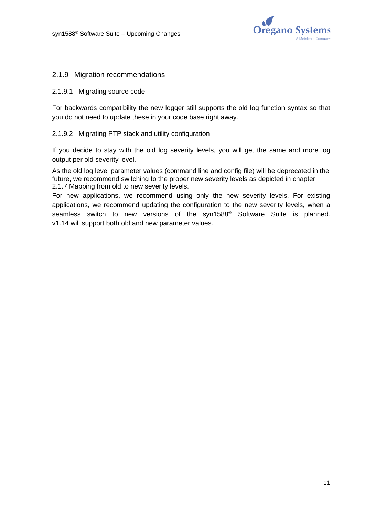

#### 2.1.9 Migration recommendations

#### 2.1.9.1 Migrating source code

For backwards compatibility the new logger still supports the old log function syntax so that you do not need to update these in your code base right away.

#### 2.1.9.2 Migrating PTP stack and utility configuration

If you decide to stay with the old log severity levels, you will get the same and more log output per old severity level.

As the old log level parameter values (command line and config file) will be deprecated in the future, we recommend switching to the proper new severity levels as depicted in chapter [2.1.7](#page-8-0) [Mapping from old to new severity levels.](#page-8-0)

For new applications, we recommend using only the new severity levels. For existing applications, we recommend updating the configuration to the new severity levels, when a seamless switch to new versions of the syn1588<sup>®</sup> Software Suite is planned. v1.14 will support both old and new parameter values.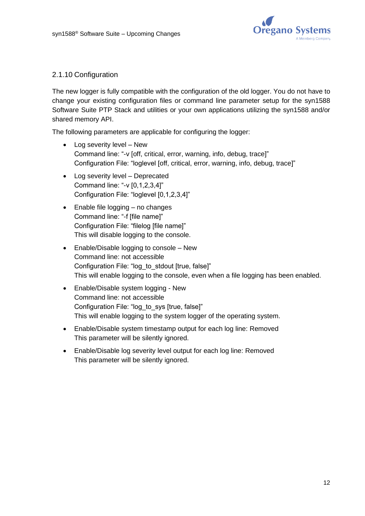

## 2.1.10 Configuration

The new logger is fully compatible with the configuration of the old logger. You do not have to change your existing configuration files or command line parameter setup for the syn1588 Software Suite PTP Stack and utilities or your own applications utilizing the syn1588 and/or shared memory API.

The following parameters are applicable for configuring the logger:

- Log severity level New Command line: "-v [off, critical, error, warning, info, debug, trace]" Configuration File: "loglevel [off, critical, error, warning, info, debug, trace]"
- Log severity level Deprecated Command line: "-v [0,1,2,3,4]" Configuration File: "loglevel [0,1,2,3,4]"
- Enable file logging no changes Command line: "-f [file name]" Configuration File: "filelog [file name]" This will disable logging to the console.
- Enable/Disable logging to console New Command line: not accessible Configuration File: "log\_to\_stdout [true, false]" This will enable logging to the console, even when a file logging has been enabled.
- Enable/Disable system logging New Command line: not accessible Configuration File: "log\_to\_sys [true, false]" This will enable logging to the system logger of the operating system.
- Enable/Disable system timestamp output for each log line: Removed This parameter will be silently ignored.
- Enable/Disable log severity level output for each log line: Removed This parameter will be silently ignored.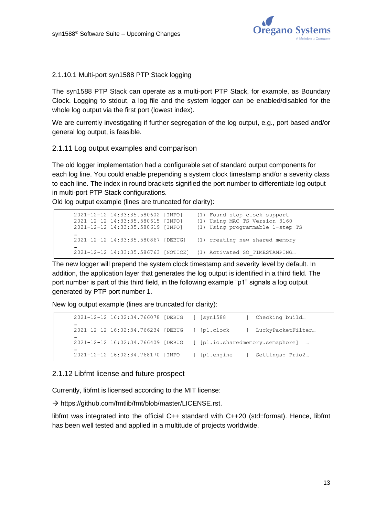

#### 2.1.10.1 Multi-port syn1588 PTP Stack logging

The syn1588 PTP Stack can operate as a multi-port PTP Stack, for example, as Boundary Clock. Logging to stdout, a log file and the system logger can be enabled/disabled for the whole log output via the first port (lowest index).

We are currently investigating if further segregation of the log output, e.g., port based and/or general log output, is feasible.

#### 2.1.11 Log output examples and comparison

The old logger implementation had a configurable set of standard output components for each log line. You could enable prepending a system clock timestamp and/or a severity class to each line. The index in round brackets signified the port number to differentiate log output in multi-port PTP Stack configurations.

Old log output example (lines are truncated for clarity):

```
2021-12-12 14:33:35.580602 [INFO] (1) Found stop clock support
2021-12-12 14:33:35.580615 [INFO] (1) Using MAC TS Version 3160
2021-12-12 14:33:35.580619 [INFO] (1) Using programmable 1-step TS
…
2021-12-12 14:33:35.580867 [DEBUG] (1) creating new shared memory
…
2021-12-12 14:33:35.586763 [NOTICE] (1) Activated SO_TIMESTAMPING…
```
The new logger will prepend the system clock timestamp and severity level by default. In addition, the application layer that generates the log output is identified in a third field. The port number is part of this third field, in the following example "p1" signals a log output generated by PTP port number 1.

New log output example (lines are truncated for clarity):

```
2021-12-12 16:02:34.766078 [DEBUG ] [syn1588 ] Checking build… 
…
2021-12-12 16:02:34.766234 [DEBUG ] [p1.clock ] LuckyPacketFilter…
…
2021-12-12 16:02:34.766409 [DEBUG ] [p1.io.sharedmemory.semaphore] …
…
2021-12-12 16:02:34.768170 [INFO ] [p1.engine ] Settings: Prio2…
```
#### 2.1.12 Libfmt license and future prospect

Currently, libfmt is licensed according to the MIT license:

→ [https://github.com/fmtlib/fmt/blob/master/LICENSE.rst.](https://github.com/fmtlib/fmt/blob/master/LICENSE.rst)

libfmt was integrated into the official C++ standard with C++20 (std::format). Hence, libfmt has been well tested and applied in a multitude of projects worldwide.